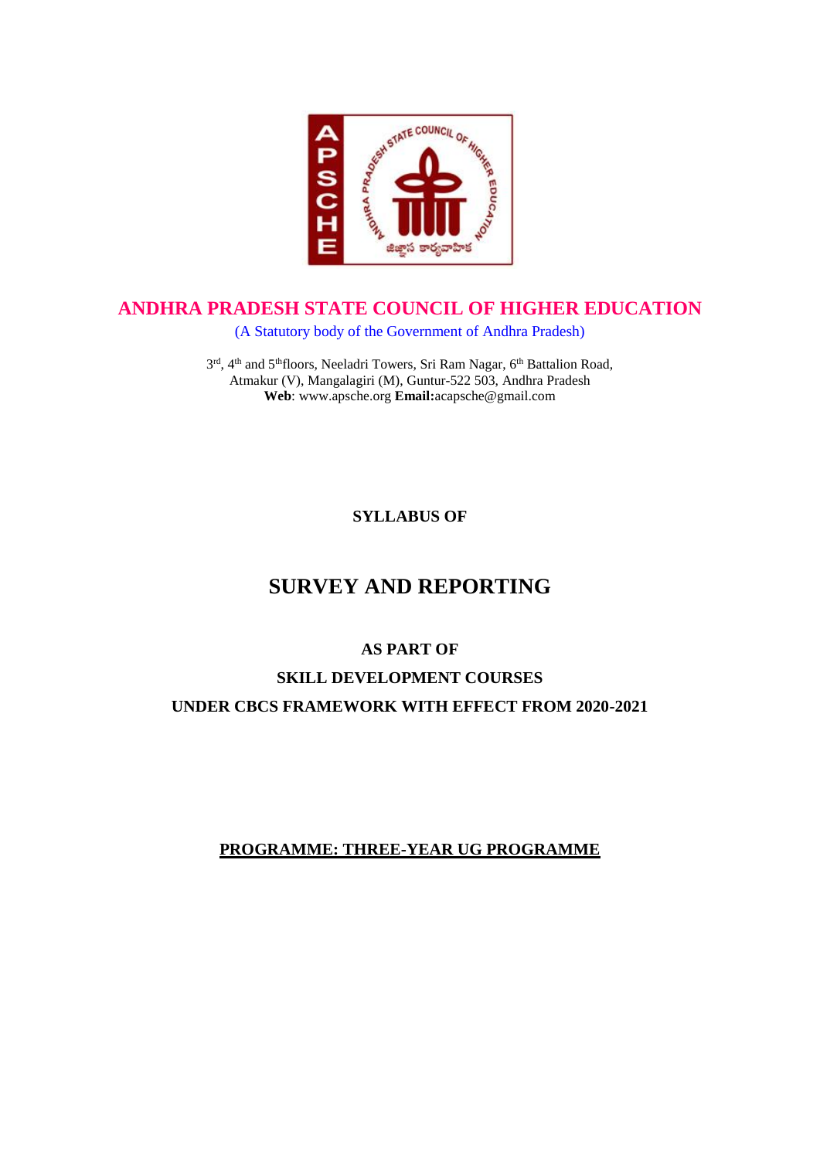

## **ANDHRA PRADESH STATE COUNCIL OF HIGHER EDUCATION**

(A Statutory body of the Government of Andhra Pradesh)

3<sup>rd</sup>, 4<sup>th</sup> and 5<sup>th</sup>floors, Neeladri Towers, Sri Ram Nagar, 6<sup>th</sup> Battalion Road, Atmakur (V), Mangalagiri (M), Guntur-522 503, Andhra Pradesh **Web**: www.apsche.org **Email:**acapsche@gmail.com

**SYLLABUS OF**

# **SURVEY AND REPORTING**

### **AS PART OF**

## **SKILL DEVELOPMENT COURSES UNDER CBCS FRAMEWORK WITH EFFECT FROM 2020-2021**

### **PROGRAMME: THREE-YEAR UG PROGRAMME**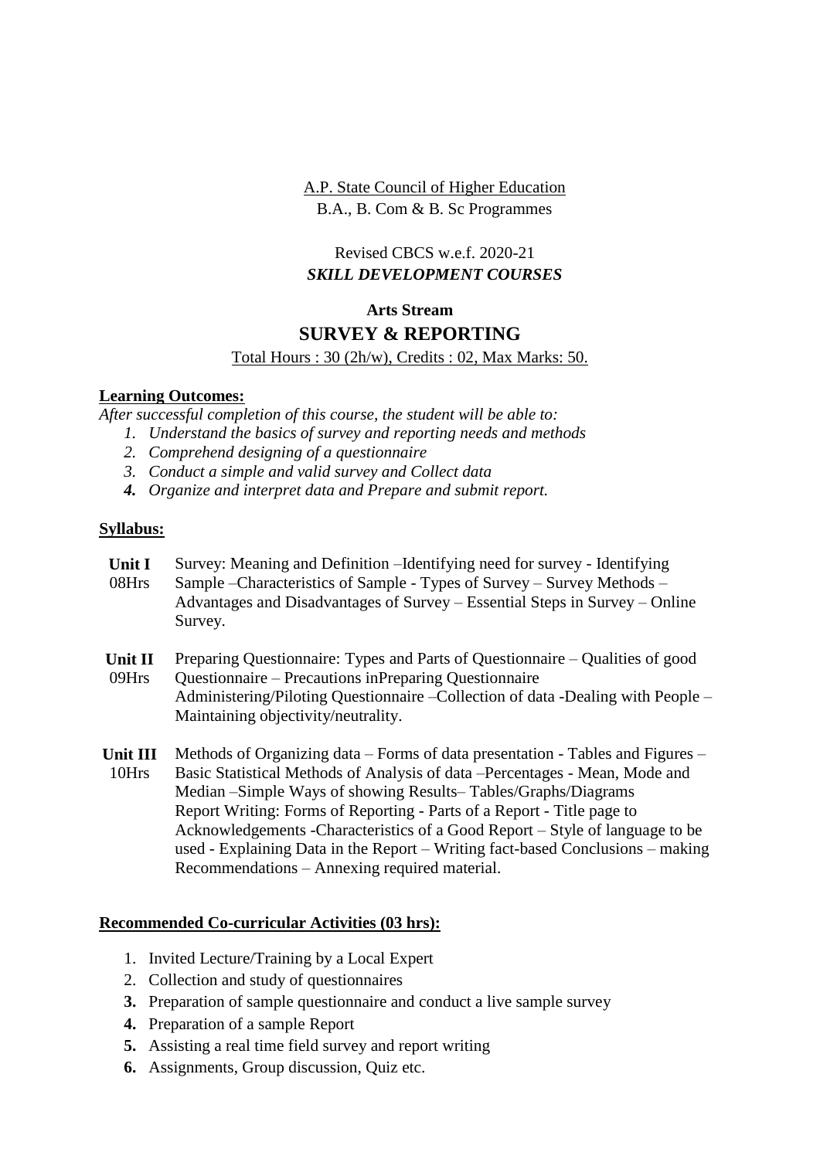A.P. State Council of Higher Education B.A., B. Com & B. Sc Programmes

### Revised CBCS w.e.f. 2020-21 *SKILL DEVELOPMENT COURSES*

### **Arts Stream**

### **SURVEY & REPORTING**

#### Total Hours : 30 (2h/w), Credits : 02, Max Marks: 50.

#### **Learning Outcomes:**

*After successful completion of this course, the student will be able to:*

- *1. Understand the basics of survey and reporting needs and methods*
- *2. Comprehend designing of a questionnaire*
- *3. Conduct a simple and valid survey and Collect data*
- *4. Organize and interpret data and Prepare and submit report.*

#### **Syllabus:**

| Unit I<br>08Hrs   | Survey: Meaning and Definition - Identifying need for survey - Identifying<br>Sample – Characteristics of Sample - Types of Survey – Survey Methods –<br>Advantages and Disadvantages of Survey – Essential Steps in Survey – Online<br>Survey.                                                                                                                                                                                                                                                                               |
|-------------------|-------------------------------------------------------------------------------------------------------------------------------------------------------------------------------------------------------------------------------------------------------------------------------------------------------------------------------------------------------------------------------------------------------------------------------------------------------------------------------------------------------------------------------|
| Unit II<br>09Hrs  | Preparing Questionnaire: Types and Parts of Questionnaire – Qualities of good<br>Questionnaire – Precautions in Preparing Questionnaire<br>Administering/Piloting Questionnaire – Collection of data - Dealing with People –<br>Maintaining objectivity/neutrality.                                                                                                                                                                                                                                                           |
| Unit III<br>10Hrs | Methods of Organizing data – Forms of data presentation - Tables and Figures –<br>Basic Statistical Methods of Analysis of data – Percentages - Mean, Mode and<br>Median – Simple Ways of showing Results–Tables/Graphs/Diagrams<br>Report Writing: Forms of Reporting - Parts of a Report - Title page to<br>Acknowledgements -Characteristics of a Good Report – Style of language to be<br>used - Explaining Data in the Report – Writing fact-based Conclusions – making<br>Recommendations – Annexing required material. |

### **Recommended Co-curricular Activities (03 hrs):**

- 1. Invited Lecture/Training by a Local Expert
- 2. Collection and study of questionnaires
- **3.** Preparation of sample questionnaire and conduct a live sample survey
- **4.** Preparation of a sample Report
- **5.** Assisting a real time field survey and report writing
- **6.** Assignments, Group discussion, Quiz etc.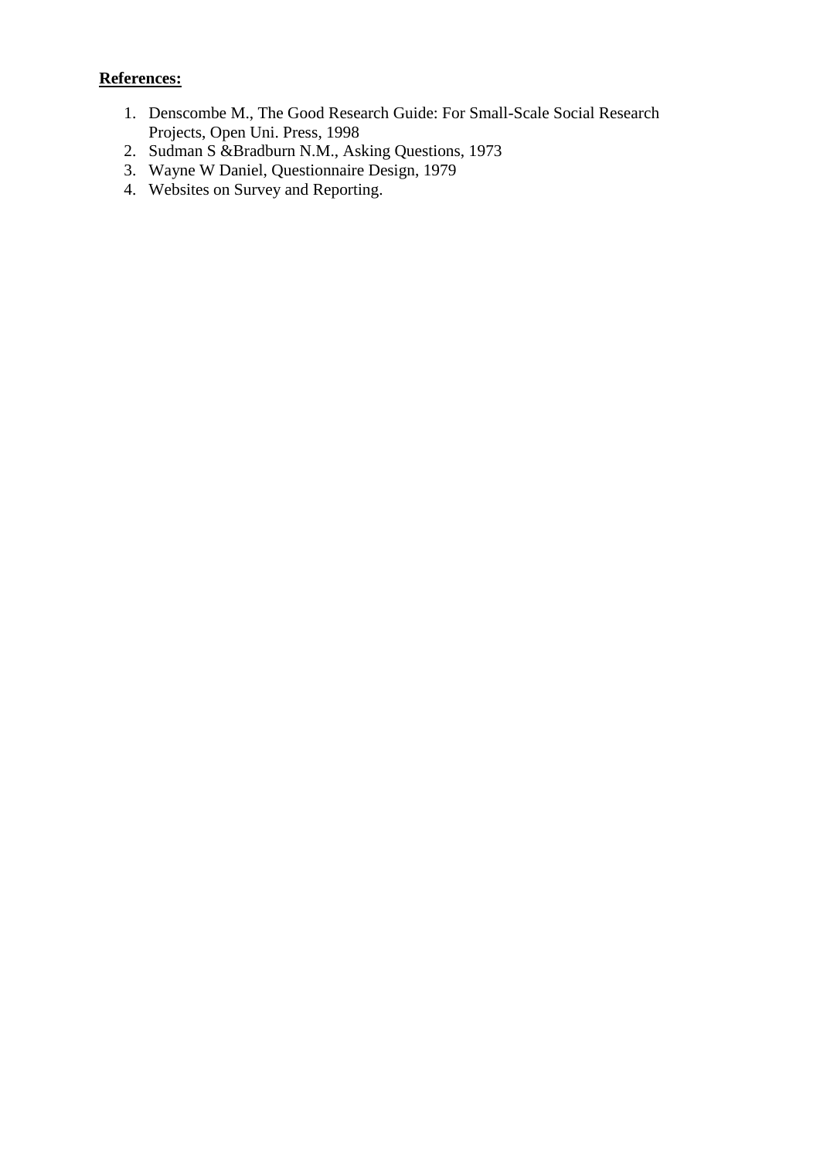### **References:**

- 1. Denscombe M., The Good Research Guide: For Small-Scale Social Research Projects, Open Uni. Press, 1998
- 2. Sudman S &Bradburn N.M., Asking Questions, 1973
- 3. Wayne W Daniel, Questionnaire Design, 1979
- 4. Websites on Survey and Reporting.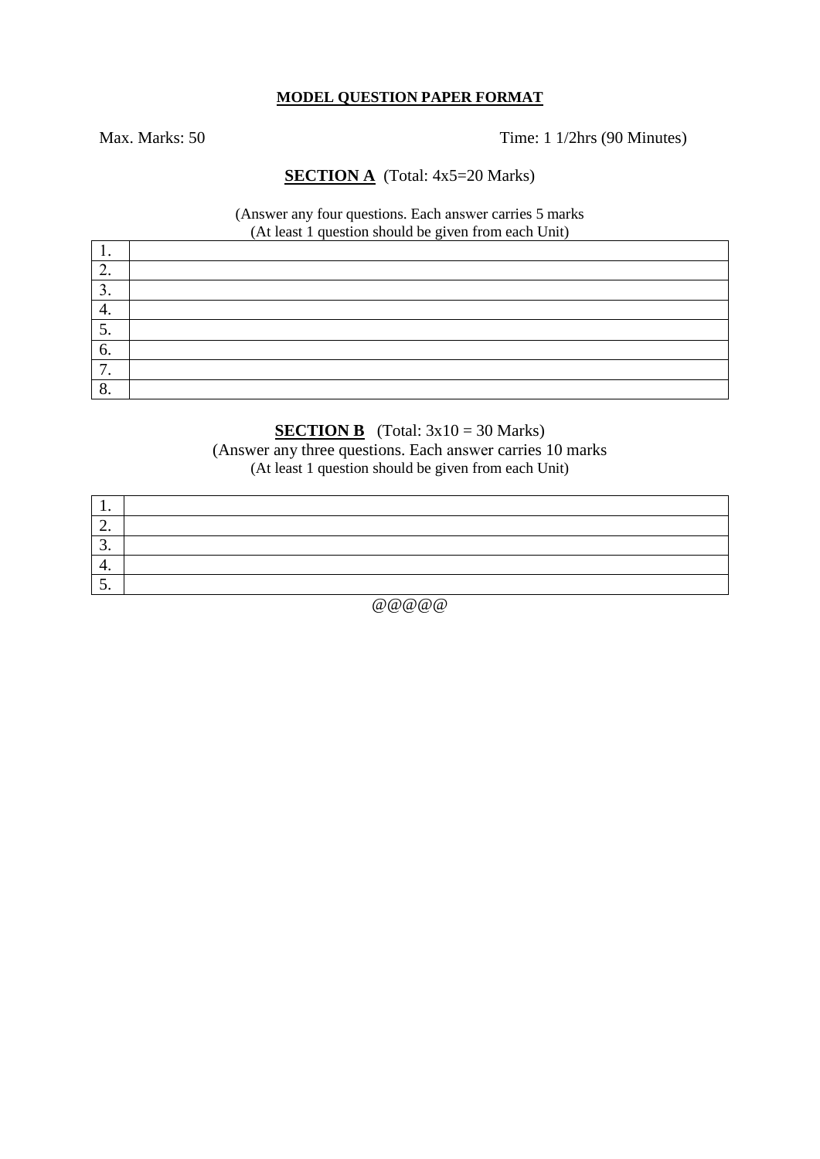#### **MODEL QUESTION PAPER FORMAT**

Max. Marks: 50 Time: 1 1/2hrs (90 Minutes)

#### **SECTION A** (Total: 4x5=20 Marks)

#### (Answer any four questions. Each answer carries 5 marks (At least 1 question should be given from each Unit)

| . .                |  |  |
|--------------------|--|--|
| ◠<br><u>L</u> .    |  |  |
| ◠<br>J.            |  |  |
| 4.                 |  |  |
| J.                 |  |  |
| 6.                 |  |  |
| $\mathbf{r}$<br>,, |  |  |
| $\Omega$<br>0.     |  |  |

### **SECTION B** (Total:  $3x10 = 30$  Marks)

(Answer any three questions. Each answer carries 10 marks (At least 1 question should be given from each Unit)

| . .      |  |
|----------|--|
| <u>.</u> |  |
| <u>.</u> |  |
| . .      |  |
| <u>.</u> |  |

@@@@@